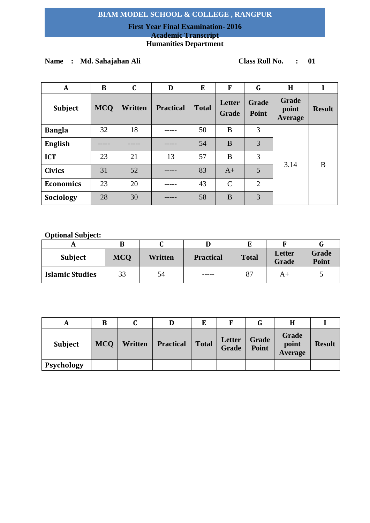## **First Year Final Examination- 2016 Academic Transcript Humanities Department**

# **Name : Md. Sahajahan Ali Class Roll No. : 01**

| $\mathbf{A}$     | B          | $\mathbf C$ | D                | E            | F               | G                     | H                                |               |
|------------------|------------|-------------|------------------|--------------|-----------------|-----------------------|----------------------------------|---------------|
| <b>Subject</b>   | <b>MCQ</b> | Written     | <b>Practical</b> | <b>Total</b> | Letter<br>Grade | <b>Grade</b><br>Point | Grade<br>point<br><b>Average</b> | <b>Result</b> |
| <b>Bangla</b>    | 32         | 18          |                  | 50           | B               | 3                     |                                  |               |
| <b>English</b>   |            |             |                  | 54           | B               | 3                     |                                  | B             |
| <b>ICT</b>       | 23         | 21          | 13               | 57           | B               | 3                     |                                  |               |
| <b>Civics</b>    | 31         | 52          |                  | 83           | $A+$            | 5                     | 3.14                             |               |
| <b>Economics</b> | 23         | 20          |                  | 43           | $\mathcal{C}$   | 2                     |                                  |               |
| Sociology        | 28         | 30          |                  | 58           | B               | 3                     |                                  |               |

| <b>Subject</b>         | <b>MCQ</b> | Written | <b>Practical</b> | <b>Total</b> | Letter<br><b>Grade</b> | <b>Grade</b><br><b>Point</b> |
|------------------------|------------|---------|------------------|--------------|------------------------|------------------------------|
| <b>Islamic Studies</b> | 33         | 54      | -----            | 87           | A+                     |                              |

| A              | B          |         | D                |              | E               |                |                           |               |
|----------------|------------|---------|------------------|--------------|-----------------|----------------|---------------------------|---------------|
| <b>Subject</b> | <b>MCQ</b> | Written | <b>Practical</b> | <b>Total</b> | Letter<br>Grade | Grade<br>Point | Grade<br>point<br>Average | <b>Result</b> |
| Psychology     |            |         |                  |              |                 |                |                           |               |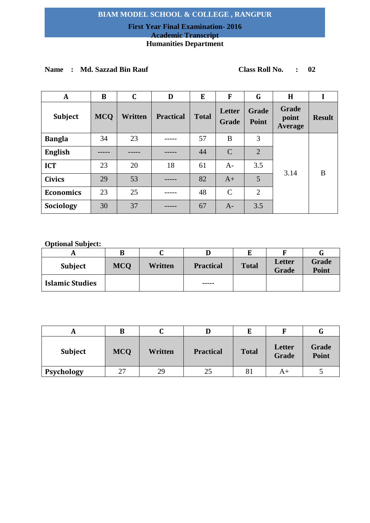# **First Year Final Examination- 2016**

# **Academic Transcript**

# **Humanities Department**

## **Name : Md. Sazzad Bin Rauf Class Roll No. : 02**

| A                | B          | $\mathbf C$ | D                | E            | F               | G                     | H                         |               |
|------------------|------------|-------------|------------------|--------------|-----------------|-----------------------|---------------------------|---------------|
| <b>Subject</b>   | <b>MCQ</b> | Written     | <b>Practical</b> | <b>Total</b> | Letter<br>Grade | <b>Grade</b><br>Point | Grade<br>point<br>Average | <b>Result</b> |
| <b>Bangla</b>    | 34         | 23          |                  | 57           | B               | 3                     |                           |               |
| <b>English</b>   |            |             |                  | 44           | $\mathcal{C}$   | $\overline{2}$        |                           |               |
| <b>ICT</b>       | 23         | 20          | 18               | 61           | $A-$            | 3.5                   |                           |               |
| <b>Civics</b>    | 29         | 53          |                  | 82           | $A+$            | 5                     | 3.14                      | B             |
| <b>Economics</b> | 23         | 25          |                  | 48           | $\mathcal{C}$   | $\overline{2}$        |                           |               |
| Sociology        | 30         | 37          |                  | 67           | $A-$            | 3.5                   |                           |               |

|                        | в          |         |                  |              |                               |                       |
|------------------------|------------|---------|------------------|--------------|-------------------------------|-----------------------|
| <b>Subject</b>         | <b>MCQ</b> | Written | <b>Practical</b> | <b>Total</b> | <b>Letter</b><br><b>Grade</b> | Grade<br><b>Point</b> |
| <b>Islamic Studies</b> |            |         | -----            |              |                               |                       |

|                | B          |         |                  |              |                 | u                     |
|----------------|------------|---------|------------------|--------------|-----------------|-----------------------|
| <b>Subject</b> | <b>MCQ</b> | Written | <b>Practical</b> | <b>Total</b> | Letter<br>Grade | <b>Grade</b><br>Point |
| Psychology     | 27         | 29      | 25               | 81           | A+              |                       |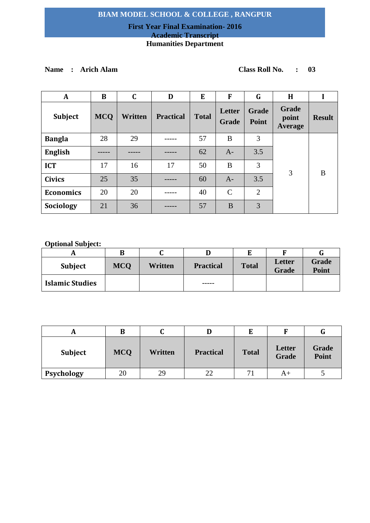## **First Year Final Examination- 2016 Academic Transcript Humanities Department**

**Name : Arich Alam Class Roll No. : 03**

| $\mathbf A$      | B          | C       | D                | E            | F               | G                     | H                         |               |
|------------------|------------|---------|------------------|--------------|-----------------|-----------------------|---------------------------|---------------|
| Subject          | <b>MCQ</b> | Written | <b>Practical</b> | <b>Total</b> | Letter<br>Grade | Grade<br><b>Point</b> | Grade<br>point<br>Average | <b>Result</b> |
| <b>Bangla</b>    | 28         | 29      |                  | 57           | B               | 3                     |                           |               |
| <b>English</b>   |            |         |                  | 62           | $A-$            | 3.5                   |                           | B             |
| <b>ICT</b>       | 17         | 16      | 17               | 50           | B               | 3                     |                           |               |
| <b>Civics</b>    | 25         | 35      |                  | 60           | $A-$            | 3.5                   | 3                         |               |
| <b>Economics</b> | 20         | 20      |                  | 40           | $\mathcal{C}$   | $\overline{2}$        |                           |               |
| Sociology        | 21         | 36      |                  | 57           | B               | 3                     |                           |               |

|                        | В          |                |                  |              |                 |                       |
|------------------------|------------|----------------|------------------|--------------|-----------------|-----------------------|
| <b>Subject</b>         | <b>MCO</b> | <b>Written</b> | <b>Practical</b> | <b>Total</b> | Letter<br>Grade | Grade<br><b>Point</b> |
| <b>Islamic Studies</b> |            |                | ------           |              |                 |                       |

| A              | B          | u       |                  | E            |                 | G                     |
|----------------|------------|---------|------------------|--------------|-----------------|-----------------------|
| <b>Subject</b> | <b>MCQ</b> | Written | <b>Practical</b> | <b>Total</b> | Letter<br>Grade | Grade<br><b>Point</b> |
| Psychology     | 20         | 29      | 22               | $-11$        | A+              |                       |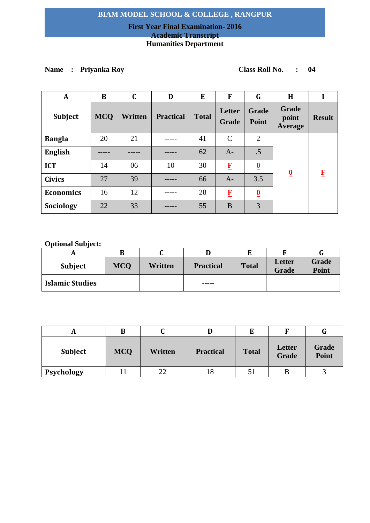## **First Year Final Examination- 2016 Academic Transcript Humanities Department**

# **Name : Priyanka Roy Class Roll No. : 04**

| A                | B          | $\mathbf C$ | D                | E            | F               | G                       | H                         |               |
|------------------|------------|-------------|------------------|--------------|-----------------|-------------------------|---------------------------|---------------|
| Subject          | <b>MCQ</b> | Written     | <b>Practical</b> | <b>Total</b> | Letter<br>Grade | <b>Grade</b><br>Point   | Grade<br>point<br>Average | <b>Result</b> |
| <b>Bangla</b>    | 20         | 21          |                  | 41           | $\mathcal{C}$   | 2                       |                           |               |
| <b>English</b>   |            |             |                  | 62           | $A-$            | .5                      |                           |               |
| <b>ICT</b>       | 14         | 06          | 10               | 30           | $\bf{F}$        | $\overline{\mathbf{0}}$ | $\overline{\mathbf{0}}$   | $\mathbf{F}$  |
| <b>Civics</b>    | 27         | 39          |                  | 66           | $A-$            | 3.5                     |                           |               |
| <b>Economics</b> | 16         | 12          |                  | 28           | $\bf{F}$        | $\overline{\mathbf{0}}$ |                           |               |
| Sociology        | 22         | 33          |                  | 55           | B               | 3                       |                           |               |

|                        | В          |         |                  |              |                        |                |
|------------------------|------------|---------|------------------|--------------|------------------------|----------------|
| Subject                | <b>MCO</b> | Written | <b>Practical</b> | <b>Total</b> | Letter<br><b>Grade</b> | Grade<br>Point |
| <b>Islamic Studies</b> |            |         | ------           |              |                        |                |

|                | B          |         |                  | E            |                        | u              |
|----------------|------------|---------|------------------|--------------|------------------------|----------------|
| <b>Subject</b> | <b>MCQ</b> | Written | <b>Practical</b> | <b>Total</b> | Letter<br><b>Grade</b> | Grade<br>Point |
| Psychology     |            | 22      | 18               | 51           |                        |                |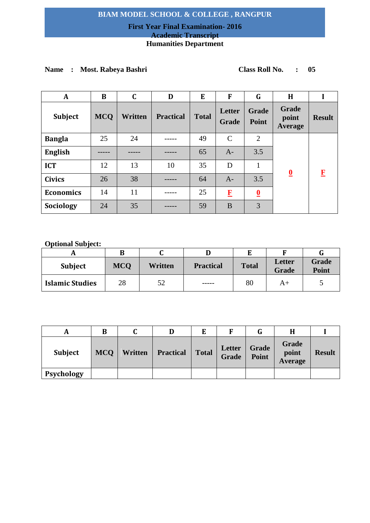## **First Year Final Examination- 2016 Academic Transcript**

## **Humanities Department**

# **Name : Most. Rabeya Bashri Class Roll No. : 05**

| A                | B          | $\mathbf C$ | D                | E            | F               | G                       | H                         |               |
|------------------|------------|-------------|------------------|--------------|-----------------|-------------------------|---------------------------|---------------|
| Subject          | <b>MCQ</b> | Written     | <b>Practical</b> | <b>Total</b> | Letter<br>Grade | <b>Grade</b><br>Point   | Grade<br>point<br>Average | <b>Result</b> |
| <b>Bangla</b>    | 25         | 24          |                  | 49           | $\mathcal{C}$   | 2                       |                           |               |
| <b>English</b>   |            |             |                  | 65           | $A-$            | 3.5                     |                           |               |
| <b>ICT</b>       | 12         | 13          | 10               | 35           | D               | 1                       |                           | $\mathbf{F}$  |
| <b>Civics</b>    | 26         | 38          |                  | 64           | $A-$            | 3.5                     | $\overline{\mathbf{0}}$   |               |
| <b>Economics</b> | 14         | 11          |                  | 25           | $\bf{F}$        | $\overline{\mathbf{0}}$ |                           |               |
| Sociology        | 24         | 35          |                  | 59           | B               | 3                       |                           |               |

| <b>Subject</b>         | <b>MCQ</b> | Written | <b>Practical</b> | <b>Total</b> | <b>Letter</b><br>Grade | Grade<br><b>Point</b> |
|------------------------|------------|---------|------------------|--------------|------------------------|-----------------------|
| <b>Islamic Studies</b> | 28         | 52      | -----            | 80           | A+                     |                       |

| A              | В          |         | D                |               |                 |                       |                           |               |
|----------------|------------|---------|------------------|---------------|-----------------|-----------------------|---------------------------|---------------|
| <b>Subject</b> | <b>MCO</b> | Written | <b>Practical</b> | $\vert$ Total | Letter<br>Grade | <b>Grade</b><br>Point | Grade<br>point<br>Average | <b>Result</b> |
| Psychology     |            |         |                  |               |                 |                       |                           |               |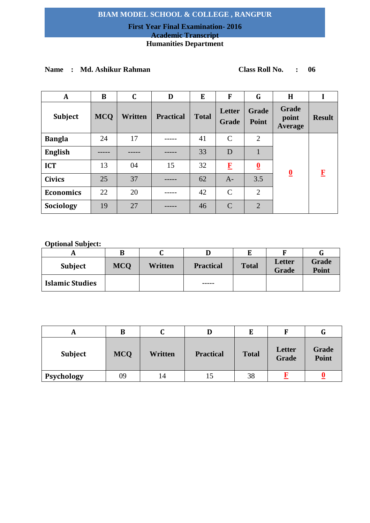## **First Year Final Examination- 2016 Academic Transcript**

# **Humanities Department**

## **Name : Md. Ashikur Rahman Class Roll No. : 06**

| A                | B          | $\mathbf C$ | D                | E            | F               | G                       | H                         |               |
|------------------|------------|-------------|------------------|--------------|-----------------|-------------------------|---------------------------|---------------|
| Subject          | <b>MCQ</b> | Written     | <b>Practical</b> | <b>Total</b> | Letter<br>Grade | <b>Grade</b><br>Point   | Grade<br>point<br>Average | <b>Result</b> |
| <b>Bangla</b>    | 24         | 17          |                  | 41           | $\mathcal{C}$   | 2                       |                           |               |
| <b>English</b>   |            |             |                  | 33           | D               |                         |                           | F             |
| <b>ICT</b>       | 13         | 04          | 15               | 32           | $\bf{F}$        | $\overline{\mathbf{0}}$ | $\overline{\mathbf{0}}$   |               |
| <b>Civics</b>    | 25         | 37          |                  | 62           | $A-$            | 3.5                     |                           |               |
| <b>Economics</b> | 22         | 20          |                  | 42           | $\mathcal{C}$   | $\overline{2}$          |                           |               |
| Sociology        | 19         | 27          |                  | 46           | $\mathcal{C}$   | $\overline{2}$          |                           |               |

|                        | В          |         |                  |              |                        |                |
|------------------------|------------|---------|------------------|--------------|------------------------|----------------|
| <b>Subject</b>         | <b>MCQ</b> | Written | <b>Practical</b> | <b>Total</b> | Letter<br><b>Grade</b> | Grade<br>Point |
| <b>Islamic Studies</b> |            |         | -----            |              |                        |                |

| л              | В          | u       |                  | E            |                 | G              |
|----------------|------------|---------|------------------|--------------|-----------------|----------------|
| <b>Subject</b> | <b>MCQ</b> | Written | <b>Practical</b> | <b>Total</b> | Letter<br>Grade | Grade<br>Point |
| Psychology     | 09         | 14      |                  | 38           |                 |                |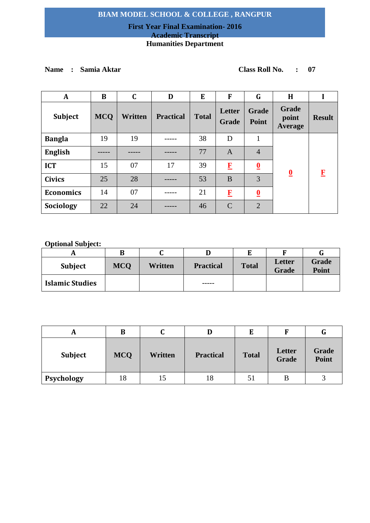## **First Year Final Examination- 2016 Academic Transcript Humanities Department**

# **Name : Samia Aktar Class Roll No. : 07**

| $\mathbf{A}$     | B          | $\mathbf C$    | D                | E            | $\mathbf{F}$    | G                       | H                         |               |
|------------------|------------|----------------|------------------|--------------|-----------------|-------------------------|---------------------------|---------------|
| Subject          | <b>MCQ</b> | <b>Written</b> | <b>Practical</b> | <b>Total</b> | Letter<br>Grade | <b>Grade</b><br>Point   | Grade<br>point<br>Average | <b>Result</b> |
| <b>Bangla</b>    | 19         | 19             |                  | 38           | D               | 1                       |                           |               |
| <b>English</b>   |            |                |                  | 77           | $\mathbf{A}$    | $\overline{4}$          |                           |               |
| <b>ICT</b>       | 15         | 07             | 17               | 39           | $\bf{F}$        | $\overline{\mathbf{0}}$ |                           | F             |
| <b>Civics</b>    | 25         | 28             |                  | 53           | B               | 3                       | $\overline{\mathbf{0}}$   |               |
| <b>Economics</b> | 14         | 07             |                  | 21           | $\bf{F}$        | $\overline{\mathbf{0}}$ |                           |               |
| Sociology        | 22         | 24             |                  | 46           | $\mathcal{C}$   | $\overline{2}$          |                           |               |

|                        | В          |         |                  |              |                        |                |
|------------------------|------------|---------|------------------|--------------|------------------------|----------------|
| <b>Subject</b>         | <b>MCO</b> | Written | <b>Practical</b> | <b>Total</b> | Letter<br><b>Grade</b> | Grade<br>Point |
| <b>Islamic Studies</b> |            |         | ------           |              |                        |                |

| A              | В          | u       |                  | E            |                 | G              |
|----------------|------------|---------|------------------|--------------|-----------------|----------------|
| <b>Subject</b> | <b>MCQ</b> | Written | <b>Practical</b> | <b>Total</b> | Letter<br>Grade | Grade<br>Point |
| Psychology     | 18         | 15      | 18               | 51           |                 |                |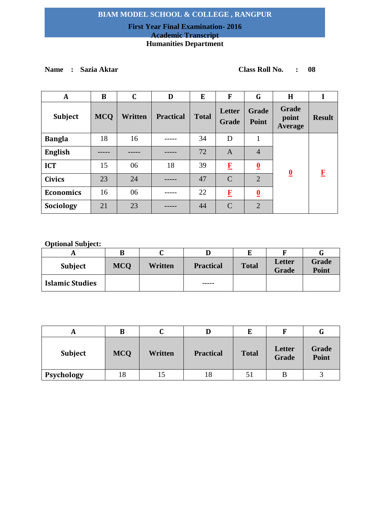## **First Year Final Examination- 2016 Academic Transcript Humanities Department**

**Name : Sazia Aktar Class Roll No. : 08**

| $\mathbf A$      | B          | C       | D                | E            | F               | G                       | H                                |               |
|------------------|------------|---------|------------------|--------------|-----------------|-------------------------|----------------------------------|---------------|
| <b>Subject</b>   | <b>MCQ</b> | Written | <b>Practical</b> | <b>Total</b> | Letter<br>Grade | <b>Grade</b><br>Point   | Grade<br>point<br><b>Average</b> | <b>Result</b> |
| <b>Bangla</b>    | 18         | 16      |                  | 34           | D               |                         |                                  |               |
| <b>English</b>   |            |         |                  | 72           | $\mathbf{A}$    | $\overline{4}$          |                                  |               |
| <b>ICT</b>       | 15         | 06      | 18               | 39           | $\bf{F}$        | $\overline{\mathbf{0}}$ | $\overline{\mathbf{0}}$          | $\mathbf F$   |
| <b>Civics</b>    | 23         | 24      |                  | 47           | $\mathcal{C}$   | $\overline{2}$          |                                  |               |
| <b>Economics</b> | 16         | 06      |                  | 22           | $\mathbf{F}$    | $\overline{\mathbf{0}}$ |                                  |               |
| Sociology        | 21         | 23      |                  | 44           | $\mathcal{C}$   | $\overline{2}$          |                                  |               |

|                        | В          |                |                  |              |                        |                       |
|------------------------|------------|----------------|------------------|--------------|------------------------|-----------------------|
| <b>Subject</b>         | <b>MCO</b> | <b>Written</b> | <b>Practical</b> | <b>Total</b> | Letter<br><b>Grade</b> | Grade<br><b>Point</b> |
| <b>Islamic Studies</b> |            |                | ------           |              |                        |                       |

|                | B          |         |                  | E            |                 | u              |
|----------------|------------|---------|------------------|--------------|-----------------|----------------|
| <b>Subject</b> | <b>MCQ</b> | Written | <b>Practical</b> | <b>Total</b> | Letter<br>Grade | Grade<br>Point |
| Psychology     | 18         | 15      | 18               | 51           |                 |                |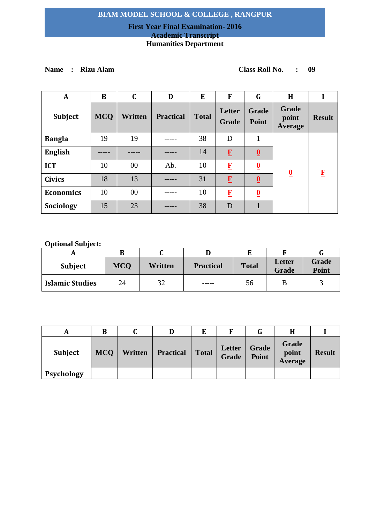## **First Year Final Examination- 2016 Academic Transcript Humanities Department**

**Name : Rizu Alam Class Roll No. : 09**

| $\mathbf{A}$     | B          | $\mathbf C$ | D                | E            | F               | G                        | H                         |               |
|------------------|------------|-------------|------------------|--------------|-----------------|--------------------------|---------------------------|---------------|
| <b>Subject</b>   | <b>MCQ</b> | Written     | <b>Practical</b> | <b>Total</b> | Letter<br>Grade | <b>Grade</b><br>Point    | Grade<br>point<br>Average | <b>Result</b> |
| <b>Bangla</b>    | 19         | 19          |                  | 38           | D               |                          |                           |               |
| <b>English</b>   |            |             |                  | 14           | $\mathbf{F}$    | $\overline{\mathbf{0}}$  |                           |               |
| <b>ICT</b>       | 10         | 00          | Ab.              | 10           | $\bf{F}$        | $\overline{\mathbf{0}}$  | $\overline{\mathbf{0}}$   | F             |
| <b>Civics</b>    | 18         | 13          |                  | 31           | $\mathbf{F}$    | $\underline{\mathbf{0}}$ |                           |               |
| <b>Economics</b> | 10         | $00\,$      |                  | 10           | $\bf{F}$        | $\overline{\mathbf{0}}$  |                           |               |
| Sociology        | 15         | 23          |                  | 38           | D               |                          |                           |               |

| <b>Subject</b>         | <b>MCO</b> | <b>Written</b> | <b>Practical</b> | <b>Total</b> | Letter<br>Grade | Grade<br><b>Point</b> |
|------------------------|------------|----------------|------------------|--------------|-----------------|-----------------------|
| <b>Islamic Studies</b> | 24         | 32             | ------           | 56           |                 |                       |

| A              | B          |         | D                |              | F               |                       |                           |               |
|----------------|------------|---------|------------------|--------------|-----------------|-----------------------|---------------------------|---------------|
| <b>Subject</b> | <b>MCO</b> | Written | <b>Practical</b> | <b>Total</b> | Letter<br>Grade | <b>Grade</b><br>Point | Grade<br>point<br>Average | <b>Result</b> |
| Psychology     |            |         |                  |              |                 |                       |                           |               |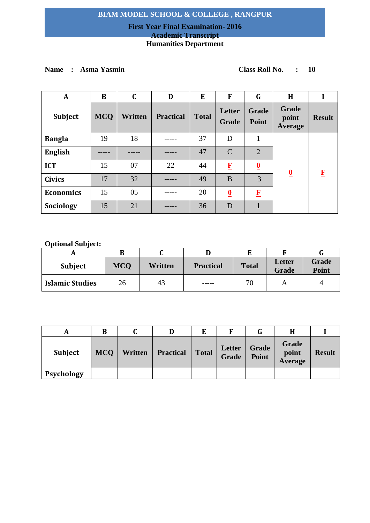## **First Year Final Examination- 2016 Academic Transcript Humanities Department**

# **Name : Asma Yasmin Class Roll No. : 10**

| A                | B          | $\mathbf C$ | D                | E            | F                       | G                       | H                         |               |
|------------------|------------|-------------|------------------|--------------|-------------------------|-------------------------|---------------------------|---------------|
| Subject          | <b>MCQ</b> | Written     | <b>Practical</b> | <b>Total</b> | Letter<br><b>Grade</b>  | <b>Grade</b><br>Point   | Grade<br>point<br>Average | <b>Result</b> |
| <b>Bangla</b>    | 19         | 18          |                  | 37           | D                       | 1                       |                           |               |
| <b>English</b>   |            |             |                  | 47           | $\mathcal{C}$           | $\overline{2}$          |                           |               |
| <b>ICT</b>       | 15         | 07          | 22               | 44           | $\mathbf{F}$            | $\overline{\mathbf{0}}$ | $\overline{\mathbf{0}}$   | $\mathbf{F}$  |
| <b>Civics</b>    | 17         | 32          |                  | 49           | B                       | 3                       |                           |               |
| <b>Economics</b> | 15         | 05          |                  | 20           | $\overline{\mathbf{0}}$ | $\mathbf{F}$            |                           |               |
| Sociology        | 15         | 21          |                  | 36           | D                       |                         |                           |               |

| <b>Subject</b>         | <b>MCO</b> | <b>Written</b> | <b>Practical</b> | <b>Total</b> | Letter<br>Grade | Grade<br><b>Point</b> |
|------------------------|------------|----------------|------------------|--------------|-----------------|-----------------------|
| <b>Islamic Studies</b> | 26         | 43             | -----            | 70           |                 |                       |

| A              | B          |         | D                |              | F               |                       |                           |               |
|----------------|------------|---------|------------------|--------------|-----------------|-----------------------|---------------------------|---------------|
| <b>Subject</b> | <b>MCO</b> | Written | <b>Practical</b> | <b>Total</b> | Letter<br>Grade | <b>Grade</b><br>Point | Grade<br>point<br>Average | <b>Result</b> |
| Psychology     |            |         |                  |              |                 |                       |                           |               |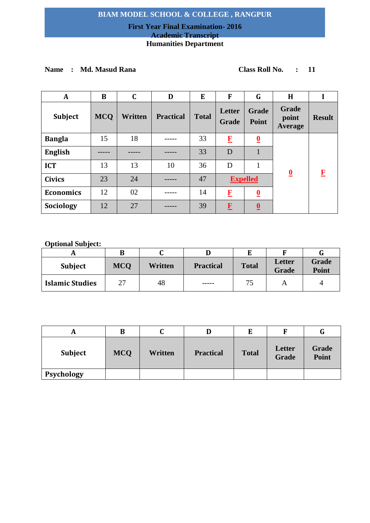## **First Year Final Examination- 2016 Academic Transcript Humanities Department**

# **Name : Md. Masud Rana Class Roll No. : 11**

| A                | B          | $\mathbf C$    | D                | E            | F               | G                       | H                         |               |
|------------------|------------|----------------|------------------|--------------|-----------------|-------------------------|---------------------------|---------------|
| Subject          | <b>MCQ</b> | <b>Written</b> | <b>Practical</b> | <b>Total</b> | Letter<br>Grade | <b>Grade</b><br>Point   | Grade<br>point<br>Average | <b>Result</b> |
| <b>Bangla</b>    | 15         | 18             |                  | 33           | $\bf{F}$        | $\overline{\mathbf{0}}$ |                           |               |
| <b>English</b>   |            |                |                  | 33           | D               |                         |                           |               |
| <b>ICT</b>       | 13         | 13             | 10               | 36           | D               | 1                       |                           |               |
| <b>Civics</b>    | 23         | 24             |                  | 47           |                 | <b>Expelled</b>         | $\overline{\mathbf{0}}$   | $\bf{F}$      |
| <b>Economics</b> | 12         | 02             |                  | 14           | $\bf{F}$        | $\overline{\mathbf{0}}$ |                           |               |
| Sociology        | 12         | 27             |                  | 39           | $\mathbf{F}$    | $\overline{\mathbf{0}}$ |                           |               |

| <b>Subject</b>         | <b>MCQ</b> | Written | <b>Practical</b> | <b>Total</b> | Letter<br><b>Grade</b> | Grade<br><b>Point</b> |
|------------------------|------------|---------|------------------|--------------|------------------------|-----------------------|
| <b>Islamic Studies</b> | 27         | 48      | ------           | د:           |                        | ப                     |

| A              | B          | ື       |                  | E            |                        | G                     |
|----------------|------------|---------|------------------|--------------|------------------------|-----------------------|
| <b>Subject</b> | <b>MCQ</b> | Written | <b>Practical</b> | <b>Total</b> | Letter<br><b>Grade</b> | Grade<br><b>Point</b> |
| Psychology     |            |         |                  |              |                        |                       |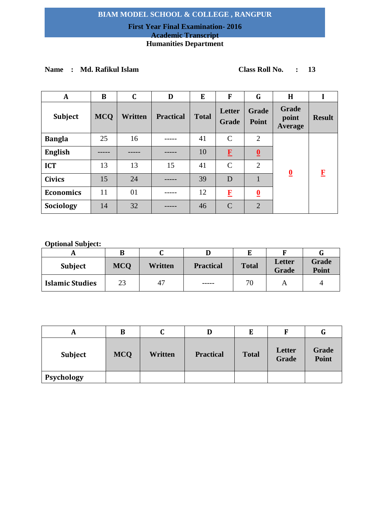## **First Year Final Examination- 2016 Academic Transcript Humanities Department**

# **Name : Md. Rafikul Islam Class Roll No. : 13**

| $\mathbf{A}$     | B          | $\mathbf C$ | D                | E            | F               | G                       | H                                |               |
|------------------|------------|-------------|------------------|--------------|-----------------|-------------------------|----------------------------------|---------------|
| <b>Subject</b>   | <b>MCQ</b> | Written     | <b>Practical</b> | <b>Total</b> | Letter<br>Grade | Grade<br>Point          | Grade<br>point<br><b>Average</b> | <b>Result</b> |
| <b>Bangla</b>    | 25         | 16          |                  | 41           | $\mathcal{C}$   | $\overline{2}$          |                                  |               |
| <b>English</b>   |            |             |                  | 10           | $\mathbf{F}$    | $\overline{\mathbf{0}}$ |                                  |               |
| <b>ICT</b>       | 13         | 13          | 15               | 41           | $\mathcal{C}$   | 2                       |                                  | F             |
| <b>Civics</b>    | 15         | 24          |                  | 39           | D               |                         | $\overline{\mathbf{0}}$          |               |
| <b>Economics</b> | 11         | 01          |                  | 12           | $\bf{F}$        | $\overline{\mathbf{0}}$ |                                  |               |
| Sociology        | 14         | 32          |                  | 46           | $\mathcal{C}$   | $\overline{2}$          |                                  |               |

|                        |            |         |                  |              |                        | U٦                    |
|------------------------|------------|---------|------------------|--------------|------------------------|-----------------------|
| <b>Subject</b>         | <b>MCQ</b> | Written | <b>Practical</b> | <b>Total</b> | Letter<br><b>Grade</b> | Grade<br><b>Point</b> |
| <b>Islamic Studies</b> | 23         | 47      | -----            | 70           | A                      |                       |

| A          | В          | C       | D                | E            |                 | G              |
|------------|------------|---------|------------------|--------------|-----------------|----------------|
| Subject    | <b>MCQ</b> | Written | <b>Practical</b> | <b>Total</b> | Letter<br>Grade | Grade<br>Point |
| Psychology |            |         |                  |              |                 |                |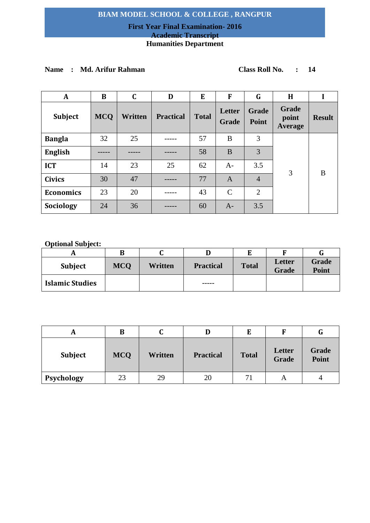## **First Year Final Examination- 2016 Academic Transcript**

# **Humanities Department**

# **Name : Md. Arifur Rahman Class Roll No. : 14**

| A                | B          | $\mathbf C$ | D                | E            | F               | G                     | H                         |               |
|------------------|------------|-------------|------------------|--------------|-----------------|-----------------------|---------------------------|---------------|
| <b>Subject</b>   | <b>MCQ</b> | Written     | <b>Practical</b> | <b>Total</b> | Letter<br>Grade | <b>Grade</b><br>Point | Grade<br>point<br>Average | <b>Result</b> |
| <b>Bangla</b>    | 32         | 25          |                  | 57           | B               | 3                     |                           |               |
| <b>English</b>   |            |             |                  | 58           | B               | 3                     |                           |               |
| <b>ICT</b>       | 14         | 23          | 25               | 62           | $A-$            | 3.5                   |                           |               |
| <b>Civics</b>    | 30         | 47          |                  | 77           | $\mathbf{A}$    | $\overline{4}$        | 3                         | B             |
| <b>Economics</b> | 23         | 20          |                  | 43           | $\mathcal{C}$   | $\overline{2}$        |                           |               |
| Sociology        | 24         | 36          |                  | 60           | $A-$            | 3.5                   |                           |               |

| <b>Subject</b>         | <b>MCO</b> | Written | <b>Practical</b> | <b>Total</b> | Letter<br><b>Grade</b> | Grade<br>Point |
|------------------------|------------|---------|------------------|--------------|------------------------|----------------|
| <b>Islamic Studies</b> |            |         | -----            |              |                        |                |

| A              | B          | u       | D                | E            |                 | G                     |
|----------------|------------|---------|------------------|--------------|-----------------|-----------------------|
| <b>Subject</b> | <b>MCQ</b> | Written | <b>Practical</b> | <b>Total</b> | Letter<br>Grade | Grade<br><b>Point</b> |
| Psychology     | 23         | 29      | 20               | 71           |                 | 4                     |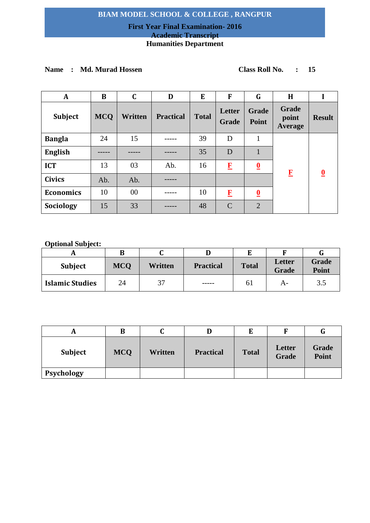## **First Year Final Examination- 2016 Academic Transcript**

## **Humanities Department**

# **Name : Md. Murad Hossen Class Roll No. : 15**

| A                | B          | $\mathbf C$ | D                | E            | F                      | G                       | H                                |                         |
|------------------|------------|-------------|------------------|--------------|------------------------|-------------------------|----------------------------------|-------------------------|
| Subject          | <b>MCQ</b> | Written     | <b>Practical</b> | <b>Total</b> | Letter<br><b>Grade</b> | <b>Grade</b><br>Point   | Grade<br>point<br><b>Average</b> | <b>Result</b>           |
| <b>Bangla</b>    | 24         | 15          |                  | 39           | D                      | $\mathbf{1}$            |                                  |                         |
| <b>English</b>   |            |             |                  | 35           | D                      |                         |                                  |                         |
| <b>ICT</b>       | 13         | 03          | Ab.              | 16           | $\bf{F}$               | $\overline{\mathbf{0}}$ | $\mathbf{F}$                     |                         |
| <b>Civics</b>    | Ab.        | Ab.         |                  |              |                        |                         |                                  | $\overline{\mathbf{0}}$ |
| <b>Economics</b> | 10         | $00\,$      |                  | 10           | $\mathbf{F}$           | $\overline{\mathbf{0}}$ |                                  |                         |
| Sociology        | 15         | 33          |                  | 48           | $\mathcal{C}$          | $\overline{2}$          |                                  |                         |

|                        | В          |         |                  |               |                        |                              |
|------------------------|------------|---------|------------------|---------------|------------------------|------------------------------|
| Subject                | <b>MCO</b> | Written | <b>Practical</b> | <b>Total</b>  | Letter<br><b>Grade</b> | <b>Grade</b><br><b>Point</b> |
| <b>Islamic Studies</b> | 24         | 37      | -----            | <sup>61</sup> | A-                     | 3.5                          |

| A              | B          | u       |                  | E            |                 | G              |
|----------------|------------|---------|------------------|--------------|-----------------|----------------|
| <b>Subject</b> | <b>MCQ</b> | Written | <b>Practical</b> | <b>Total</b> | Letter<br>Grade | Grade<br>Point |
| Psychology     |            |         |                  |              |                 |                |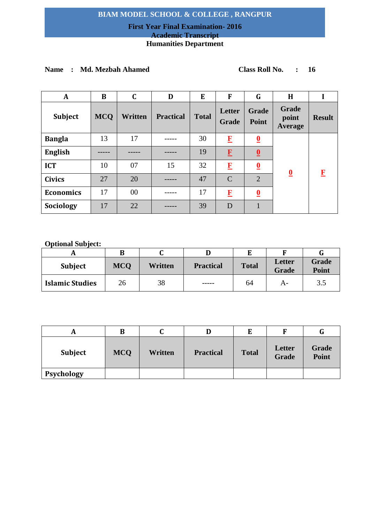# **First Year Final Examination- 2016**

# **Academic Transcript**

# **Humanities Department**

## **Name : Md. Mezbah Ahamed Class Roll No. : 16**

| A                | B          | $\mathbf C$ | D                | E            | F               | G                       | H                         |               |
|------------------|------------|-------------|------------------|--------------|-----------------|-------------------------|---------------------------|---------------|
| Subject          | <b>MCQ</b> | Written     | <b>Practical</b> | <b>Total</b> | Letter<br>Grade | <b>Grade</b><br>Point   | Grade<br>point<br>Average | <b>Result</b> |
| <b>Bangla</b>    | 13         | 17          |                  | 30           | $\mathbf{F}$    | $\overline{\mathbf{0}}$ |                           |               |
| <b>English</b>   |            |             |                  | 19           | $\mathbf{F}$    | $\overline{\mathbf{0}}$ |                           |               |
| <b>ICT</b>       | 10         | 07          | 15               | 32           | $\bf{F}$        | $\overline{\mathbf{0}}$ |                           | F             |
| <b>Civics</b>    | 27         | 20          |                  | 47           | $\mathcal{C}$   | $\overline{2}$          | $\underline{\mathbf{0}}$  |               |
| <b>Economics</b> | 17         | 00          |                  | 17           | $\bf{F}$        | $\overline{\mathbf{0}}$ |                           |               |
| Sociology        | 17         | 22          |                  | 39           | D               |                         |                           |               |

| <b>Subject</b>         | <b>MCQ</b> | <b>Written</b> | <b>Practical</b> | <b>Total</b> | Letter<br>Grade | Grade<br><b>Point</b> |
|------------------------|------------|----------------|------------------|--------------|-----------------|-----------------------|
| <b>Islamic Studies</b> | 26         | 38             | ------           | 64           | A-              | 3.5                   |

| A              | B          | u       |                  | Е            |                 | u              |
|----------------|------------|---------|------------------|--------------|-----------------|----------------|
| <b>Subject</b> | <b>MCQ</b> | Written | <b>Practical</b> | <b>Total</b> | Letter<br>Grade | Grade<br>Point |
| Psychology     |            |         |                  |              |                 |                |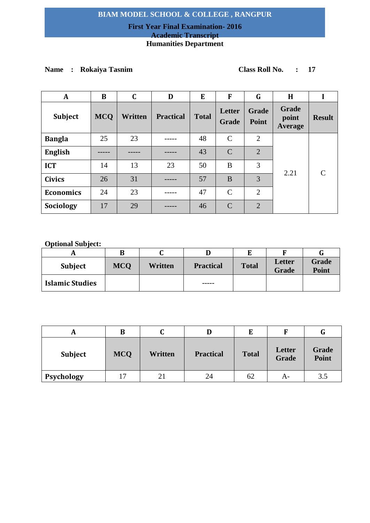## **First Year Final Examination- 2016 Academic Transcript Humanities Department**

# **Name : Rokaiya Tasnim Class Roll No. : 17**

| A                | B          | $\mathbf C$ | D                | E            | F               | G              | H                         |               |
|------------------|------------|-------------|------------------|--------------|-----------------|----------------|---------------------------|---------------|
| Subject          | <b>MCQ</b> | Written     | <b>Practical</b> | <b>Total</b> | Letter<br>Grade | Grade<br>Point | Grade<br>point<br>Average | <b>Result</b> |
| <b>Bangla</b>    | 25         | 23          |                  | 48           | $\mathsf{C}$    | $\overline{2}$ |                           |               |
| <b>English</b>   |            |             |                  | 43           | $\mathcal{C}$   | $\overline{2}$ |                           |               |
| <b>ICT</b>       | 14         | 13          | 23               | 50           | B               | 3              |                           |               |
| <b>Civics</b>    | 26         | 31          |                  | 57           | B               | 3              | 2.21                      |               |
| <b>Economics</b> | 24         | 23          |                  | 47           | $\mathcal{C}$   | 2              |                           |               |
| Sociology        | 17         | 29          |                  | 46           | $\mathcal{C}$   | $\overline{2}$ |                           |               |

|                        | В          |                |                  |              |                        |                       |
|------------------------|------------|----------------|------------------|--------------|------------------------|-----------------------|
| <b>Subject</b>         | <b>MCO</b> | <b>Written</b> | <b>Practical</b> | <b>Total</b> | Letter<br><b>Grade</b> | Grade<br><b>Point</b> |
| <b>Islamic Studies</b> |            |                | -----            |              |                        |                       |

| A              | B          | u       | D                | E            |                        | G                     |
|----------------|------------|---------|------------------|--------------|------------------------|-----------------------|
| <b>Subject</b> | <b>MCQ</b> | Written | <b>Practical</b> | <b>Total</b> | Letter<br><b>Grade</b> | Grade<br><b>Point</b> |
| Psychology     | 17         | 21      | 24               | 62           | A-                     | 3.5                   |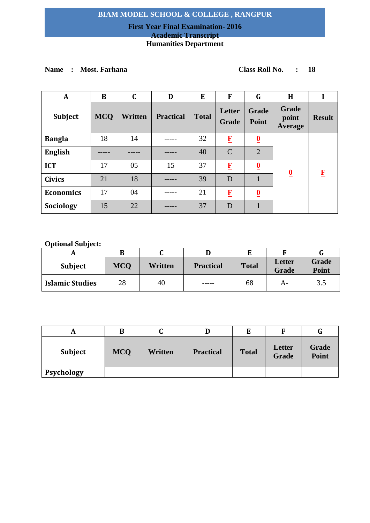## **First Year Final Examination- 2016 Academic Transcript Humanities Department**

# **Name : Most. Farhana Class Roll No. : 18**

| A                | B          | $\mathbf C$ | D                | E            | F                      | G                       | H                         |               |
|------------------|------------|-------------|------------------|--------------|------------------------|-------------------------|---------------------------|---------------|
| Subject          | <b>MCQ</b> | Written     | <b>Practical</b> | <b>Total</b> | Letter<br><b>Grade</b> | <b>Grade</b><br>Point   | Grade<br>point<br>Average | <b>Result</b> |
| <b>Bangla</b>    | 18         | 14          |                  | 32           | $\bf{F}$               | $\overline{\mathbf{0}}$ |                           |               |
| <b>English</b>   |            |             |                  | 40           | $\mathcal{C}$          | $\overline{2}$          |                           |               |
| <b>ICT</b>       | 17         | 05          | 15               | 37           | $\mathbf{F}$           | $\overline{\mathbf{0}}$ | $\overline{\mathbf{0}}$   | $\mathbf{F}$  |
| <b>Civics</b>    | 21         | 18          |                  | 39           | D                      |                         |                           |               |
| <b>Economics</b> | 17         | 04          |                  | 21           | $\bf{F}$               | $\overline{\mathbf{0}}$ |                           |               |
| Sociology        | 15         | 22          |                  | 37           | D                      |                         |                           |               |

| <b>Subject</b>         | <b>MCQ</b> | Written | <b>Practical</b> | <b>Total</b> | <b>Letter</b><br><b>Grade</b> | Grade<br>Point |
|------------------------|------------|---------|------------------|--------------|-------------------------------|----------------|
| <b>Islamic Studies</b> | 28         | 40      | -----            | 68           | А-                            | 3.5            |

| A              | B          | ື       |                  | E            |                        |                |
|----------------|------------|---------|------------------|--------------|------------------------|----------------|
| <b>Subject</b> | <b>MCQ</b> | Written | <b>Practical</b> | <b>Total</b> | Letter<br><b>Grade</b> | Grade<br>Point |
| Psychology     |            |         |                  |              |                        |                |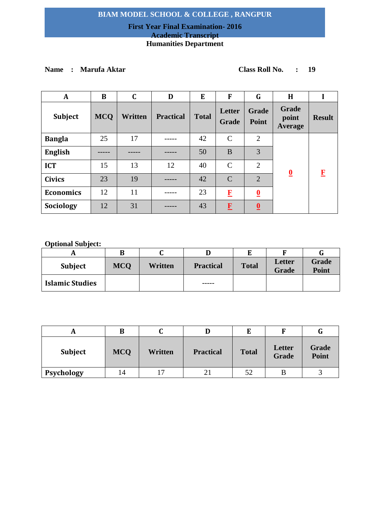## **First Year Final Examination- 2016 Academic Transcript Humanities Department**

# **Name : Marufa Aktar Class Roll No. : 19**

| A                | B          | $\mathbf C$ | D                | E            | F               | G                       | H                                |               |
|------------------|------------|-------------|------------------|--------------|-----------------|-------------------------|----------------------------------|---------------|
| <b>Subject</b>   | <b>MCQ</b> | Written     | <b>Practical</b> | <b>Total</b> | Letter<br>Grade | <b>Grade</b><br>Point   | Grade<br>point<br><b>Average</b> | <b>Result</b> |
| <b>Bangla</b>    | 25         | 17          |                  | 42           | $\mathcal{C}$   | $\overline{2}$          |                                  |               |
| <b>English</b>   |            |             |                  | 50           | B               | 3                       |                                  |               |
| <b>ICT</b>       | 15         | 13          | 12               | 40           | $\mathcal{C}$   | $\overline{2}$          |                                  |               |
| <b>Civics</b>    | 23         | 19          |                  | 42           | $\mathcal{C}$   | $\overline{2}$          | $\overline{\mathbf{0}}$          | $\mathbf{F}$  |
| <b>Economics</b> | 12         | 11          |                  | 23           | $\bf{F}$        | $\overline{\mathbf{0}}$ |                                  |               |
| Sociology        | 12         | 31          |                  | 43           | $\mathbf{F}$    | $\overline{\mathbf{0}}$ |                                  |               |

|                        | В          |         |                  |              |                        |                       |
|------------------------|------------|---------|------------------|--------------|------------------------|-----------------------|
| Subject                | <b>MCO</b> | Written | <b>Practical</b> | <b>Total</b> | Letter<br><b>Grade</b> | Grade<br><b>Point</b> |
| <b>Islamic Studies</b> |            |         | -----            |              |                        |                       |

|                | В          |         |                  |              |                 | u              |
|----------------|------------|---------|------------------|--------------|-----------------|----------------|
| <b>Subject</b> | <b>MCQ</b> | Written | <b>Practical</b> | <b>Total</b> | Letter<br>Grade | Grade<br>Point |
| Psychology     | 14         |         |                  | 52           |                 |                |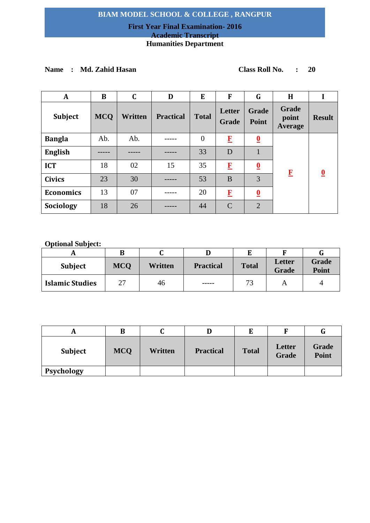## **First Year Final Examination- 2016 Academic Transcript Humanities Department**

# **Name : Md. Zahid Hasan Class Roll No. : 20**

| $\mathbf{A}$     | B          | $\mathbf C$ | D                | E            | $\mathbf{F}$    | G                            | H                         |               |
|------------------|------------|-------------|------------------|--------------|-----------------|------------------------------|---------------------------|---------------|
| Subject          | <b>MCQ</b> | Written     | <b>Practical</b> | <b>Total</b> | Letter<br>Grade | <b>Grade</b><br><b>Point</b> | Grade<br>point<br>Average | <b>Result</b> |
| <b>Bangla</b>    | Ab.        | Ab.         |                  | $\theta$     | $\bf{F}$        | $\overline{\mathbf{0}}$      |                           |               |
| <b>English</b>   |            |             |                  | 33           | D               |                              |                           |               |
| <b>ICT</b>       | 18         | 02          | 15               | 35           | $\mathbf{F}$    | $\underline{\mathbf{0}}$     | $\mathbf{F}$              | $\bf{0}$      |
| <b>Civics</b>    | 23         | 30          |                  | 53           | B               | 3                            |                           |               |
| <b>Economics</b> | 13         | 07          |                  | 20           | $\bf{F}$        | $\overline{\mathbf{0}}$      |                           |               |
| Sociology        | 18         | 26          |                  | 44           | $\mathcal{C}$   | $\overline{2}$               |                           |               |

| <b>Subject</b>         | <b>MCQ</b> | Written | <b>Practical</b> | <b>Total</b> | Letter<br><b>Grade</b> | Grade<br><b>Point</b> |
|------------------------|------------|---------|------------------|--------------|------------------------|-----------------------|
| <b>Islamic Studies</b> | 27         | 46      | -----            | 73           |                        |                       |

|                | в          |         |                  |              |                        | u              |
|----------------|------------|---------|------------------|--------------|------------------------|----------------|
| <b>Subject</b> | <b>MCQ</b> | Written | <b>Practical</b> | <b>Total</b> | Letter<br><b>Grade</b> | Grade<br>Point |
| Psychology     |            |         |                  |              |                        |                |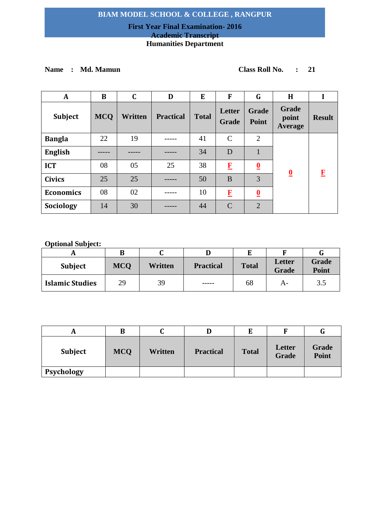## **First Year Final Examination- 2016 Academic Transcript Humanities Department**

# **Name : Md. Mamun Class Roll No. : 21**

| $\mathbf A$      | B          | C       | D                | E            | F               | G                            | H                         |               |
|------------------|------------|---------|------------------|--------------|-----------------|------------------------------|---------------------------|---------------|
| Subject          | <b>MCQ</b> | Written | <b>Practical</b> | <b>Total</b> | Letter<br>Grade | <b>Grade</b><br><b>Point</b> | Grade<br>point<br>Average | <b>Result</b> |
| <b>Bangla</b>    | 22         | 19      |                  | 41           | $\mathcal{C}$   | $\overline{2}$               |                           |               |
| <b>English</b>   |            |         |                  | 34           | D               |                              |                           |               |
| <b>ICT</b>       | 08         | 05      | 25               | 38           | $\bf{F}$        | $\overline{\mathbf{0}}$      | $\overline{\mathbf{0}}$   | $\mathbf F$   |
| <b>Civics</b>    | 25         | 25      |                  | 50           | B               | 3                            |                           |               |
| <b>Economics</b> | 08         | 02      |                  | 10           | $\bf{F}$        | $\overline{\mathbf{0}}$      |                           |               |
| Sociology        | 14         | 30      |                  | 44           | $\mathcal{C}$   | $\overline{2}$               |                           |               |

| <b>Subject</b>         | <b>MCQ</b> | Written | <b>Practical</b> | <b>Total</b> | <b>Letter</b><br>Grade | Grade<br><b>Point</b> |
|------------------------|------------|---------|------------------|--------------|------------------------|-----------------------|
| <b>Islamic Studies</b> | 29         | 39      | -----            | 68           | А-                     | 3.5                   |

|                | B          | u       |                  |              |                 | u              |
|----------------|------------|---------|------------------|--------------|-----------------|----------------|
| <b>Subject</b> | <b>MCQ</b> | Written | <b>Practical</b> | <b>Total</b> | Letter<br>Grade | Grade<br>Point |
| Psychology     |            |         |                  |              |                 |                |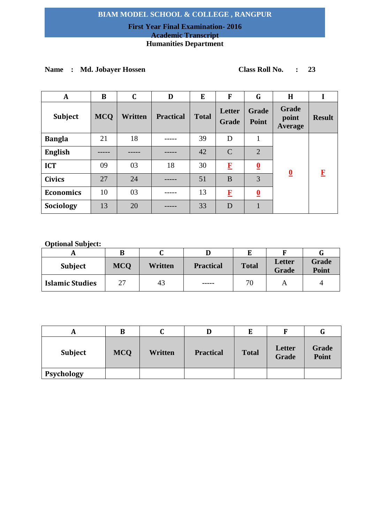## **First Year Final Examination- 2016 Academic Transcript**

# **Humanities Department**

# **Name : Md. Jobayer Hossen Class Roll No. : 23**

| A                | B          | C       | D                | E            | F                      | G                       | H                                |               |
|------------------|------------|---------|------------------|--------------|------------------------|-------------------------|----------------------------------|---------------|
| Subject          | <b>MCQ</b> | Written | <b>Practical</b> | <b>Total</b> | Letter<br><b>Grade</b> | <b>Grade</b><br>Point   | Grade<br>point<br><b>Average</b> | <b>Result</b> |
| <b>Bangla</b>    | 21         | 18      |                  | 39           | D                      | 1                       |                                  |               |
| <b>English</b>   |            |         |                  | 42           | $\mathcal{C}$          | $\overline{2}$          |                                  | F             |
| <b>ICT</b>       | 09         | 03      | 18               | 30           | $\mathbf{F}$           | $\overline{\mathbf{0}}$ | $\overline{\mathbf{0}}$          |               |
| <b>Civics</b>    | 27         | 24      |                  | 51           | B                      | 3                       |                                  |               |
| <b>Economics</b> | 10         | 03      |                  | 13           | $\bf{F}$               | $\overline{\mathbf{0}}$ |                                  |               |
| Sociology        | 13         | 20      |                  | 33           | D                      |                         |                                  |               |

|                        | В          |         |                  |              |                        |                       |
|------------------------|------------|---------|------------------|--------------|------------------------|-----------------------|
| <b>Subject</b>         | <b>MCQ</b> | Written | <b>Practical</b> | <b>Total</b> | Letter<br><b>Grade</b> | <b>Grade</b><br>Point |
| <b>Islamic Studies</b> | 27         | 43      | ------           | 70           |                        | 4                     |

| A              | B          | ີ       |                  |              |                        | u              |
|----------------|------------|---------|------------------|--------------|------------------------|----------------|
| <b>Subject</b> | <b>MCQ</b> | Written | <b>Practical</b> | <b>Total</b> | Letter<br><b>Grade</b> | Grade<br>Point |
| Psychology     |            |         |                  |              |                        |                |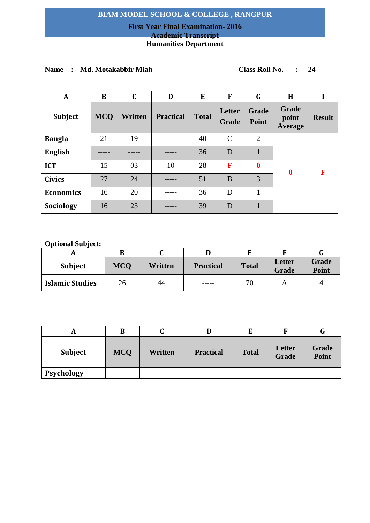## **First Year Final Examination- 2016 Academic Transcript**

# **Humanities Department**

## **Name : Md. Motakabbir Miah Class Roll No. : 24**

| A                | B          | C       | D                | E            | F               | G                       | H                         |               |
|------------------|------------|---------|------------------|--------------|-----------------|-------------------------|---------------------------|---------------|
| Subject          | <b>MCQ</b> | Written | <b>Practical</b> | <b>Total</b> | Letter<br>Grade | <b>Grade</b><br>Point   | Grade<br>point<br>Average | <b>Result</b> |
| <b>Bangla</b>    | 21         | 19      |                  | 40           | $\mathcal{C}$   | 2                       |                           |               |
| <b>English</b>   |            |         |                  | 36           | D               |                         |                           |               |
| <b>ICT</b>       | 15         | 03      | 10               | 28           | $\mathbf{F}$    | $\overline{\mathbf{0}}$ |                           |               |
| <b>Civics</b>    | 27         | 24      |                  | 51           | B               | 3                       | $\overline{\mathbf{0}}$   | $\bf{F}$      |
| <b>Economics</b> | 16         | 20      |                  | 36           | D               | 1                       |                           |               |
| Sociology        | 16         | 23      |                  | 39           | D               |                         |                           |               |

|                        | В          |         |                  |              |                        |                              |
|------------------------|------------|---------|------------------|--------------|------------------------|------------------------------|
| <b>Subject</b>         | <b>MCO</b> | Written | <b>Practical</b> | <b>Total</b> | Letter<br><b>Grade</b> | <b>Grade</b><br><b>Point</b> |
| <b>Islamic Studies</b> | 26         | 44      | ------           | 70           |                        | 4                            |

| A              | B          | u       |                  |              |                 | u              |
|----------------|------------|---------|------------------|--------------|-----------------|----------------|
| <b>Subject</b> | <b>MCQ</b> | Written | <b>Practical</b> | <b>Total</b> | Letter<br>Grade | Grade<br>Point |
| Psychology     |            |         |                  |              |                 |                |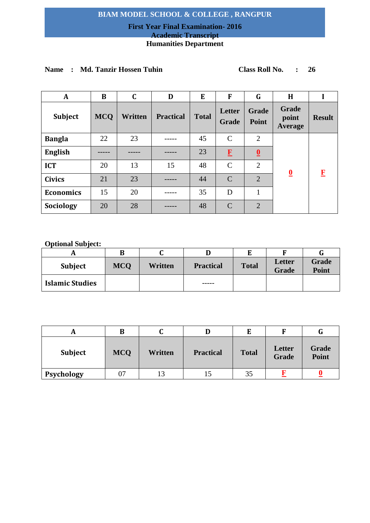## **First Year Final Examination- 2016 Academic Transcript**

# **Humanities Department**

| A                | B          | $\mathbf C$ | D                | E            | F               | G                       | H                         |               |
|------------------|------------|-------------|------------------|--------------|-----------------|-------------------------|---------------------------|---------------|
| <b>Subject</b>   | <b>MCQ</b> | Written     | <b>Practical</b> | <b>Total</b> | Letter<br>Grade | <b>Grade</b><br>Point   | Grade<br>point<br>Average | <b>Result</b> |
| <b>Bangla</b>    | 22         | 23          |                  | 45           | $\mathcal{C}$   | $\overline{2}$          |                           |               |
| <b>English</b>   |            |             |                  | 23           | $\mathbf{F}$    | $\overline{\mathbf{0}}$ |                           |               |
| <b>ICT</b>       | 20         | 13          | 15               | 48           | $\mathcal{C}$   | $\overline{2}$          |                           |               |
| <b>Civics</b>    | 21         | 23          |                  | 44           | $\mathcal{C}$   | $\overline{2}$          | $\overline{\mathbf{0}}$   | $\mathbf F$   |
| <b>Economics</b> | 15         | 20          |                  | 35           | D               | 1                       |                           |               |
| Sociology        | 20         | 28          |                  | 48           | $\mathcal{C}$   | $\overline{2}$          |                           |               |

## **Name : Md. Tanzir Hossen Tuhin Class Roll No. : 26**

|                        | В          |         |                  |              |                        |                       |
|------------------------|------------|---------|------------------|--------------|------------------------|-----------------------|
| Subject                | <b>MCO</b> | Written | <b>Practical</b> | <b>Total</b> | Letter<br><b>Grade</b> | Grade<br><b>Point</b> |
| <b>Islamic Studies</b> |            |         | -----            |              |                        |                       |

|                | B          |         |                  |              |                        | u              |
|----------------|------------|---------|------------------|--------------|------------------------|----------------|
| <b>Subject</b> | <b>MCQ</b> | Written | <b>Practical</b> | <b>Total</b> | Letter<br><b>Grade</b> | Grade<br>Point |
| Psychology     | 07         |         |                  | 35           |                        |                |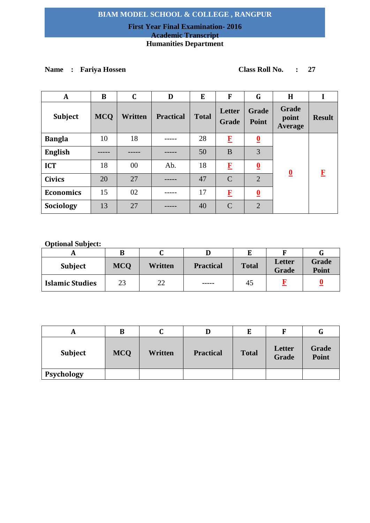## **First Year Final Examination- 2016 Academic Transcript Humanities Department**

# **Name : Fariya Hossen Class Roll No. : 27**

| A                | B          | C              | D                | E            | F               | G                       | H                                |               |
|------------------|------------|----------------|------------------|--------------|-----------------|-------------------------|----------------------------------|---------------|
| Subject          | <b>MCQ</b> | <b>Written</b> | <b>Practical</b> | <b>Total</b> | Letter<br>Grade | Grade<br>Point          | Grade<br>point<br><b>Average</b> | <b>Result</b> |
| <b>Bangla</b>    | 10         | 18             |                  | 28           | $\bf{F}$        | $\overline{\mathbf{0}}$ |                                  |               |
| <b>English</b>   |            |                |                  | 50           | B               | 3                       |                                  |               |
| <b>ICT</b>       | 18         | $00\,$         | Ab.              | 18           | $\bf{F}$        | $\overline{\mathbf{0}}$ | $\overline{\mathbf{0}}$          | $\bf{F}$      |
| <b>Civics</b>    | 20         | 27             |                  | 47           | $\mathcal{C}$   | $\overline{2}$          |                                  |               |
| <b>Economics</b> | 15         | 02             |                  | 17           | $\bf{F}$        | $\overline{\mathbf{0}}$ |                                  |               |
| Sociology        | 13         | 27             |                  | 40           | $\mathcal{C}$   | $\overline{2}$          |                                  |               |

| <b>Subject</b>         | <b>MCO</b> | <b>Written</b> | <b>Practical</b> | <b>Total</b> | Letter<br>Grade | Grade<br><b>Point</b> |
|------------------------|------------|----------------|------------------|--------------|-----------------|-----------------------|
| <b>Islamic Studies</b> | 23         | 22             | -----            | 45           |                 |                       |

| A              | B          | ີ       |                  | E            |                        | G              |
|----------------|------------|---------|------------------|--------------|------------------------|----------------|
| <b>Subject</b> | <b>MCQ</b> | Written | <b>Practical</b> | <b>Total</b> | Letter<br><b>Grade</b> | Grade<br>Point |
| Psychology     |            |         |                  |              |                        |                |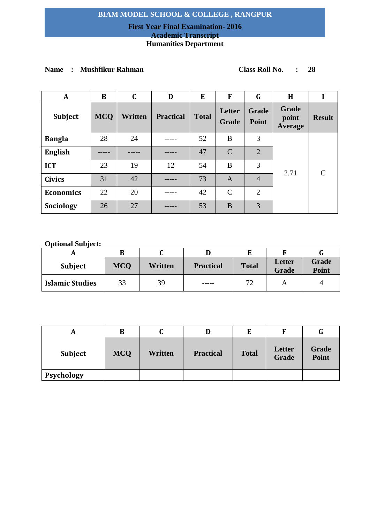## **First Year Final Examination- 2016 Academic Transcript**

## **Humanities Department**

# **Name : Mushfikur Rahman Class Roll No. : 28**

| A                | B          | $\mathbf C$ | D                | E            | F               | G                     | H                         |                             |
|------------------|------------|-------------|------------------|--------------|-----------------|-----------------------|---------------------------|-----------------------------|
| Subject          | <b>MCQ</b> | Written     | <b>Practical</b> | <b>Total</b> | Letter<br>Grade | <b>Grade</b><br>Point | Grade<br>point<br>Average | <b>Result</b>               |
| <b>Bangla</b>    | 28         | 24          |                  | 52           | B               | 3                     | 2.71                      | $\mathcal{C}_{\mathcal{C}}$ |
| <b>English</b>   |            |             |                  | 47           | $\mathcal{C}$   | $\overline{2}$        |                           |                             |
| <b>ICT</b>       | 23         | 19          | 12               | 54           | B               | 3                     |                           |                             |
| <b>Civics</b>    | 31         | 42          |                  | 73           | $\mathbf{A}$    | $\overline{4}$        |                           |                             |
| <b>Economics</b> | 22         | 20          |                  | 42           | $\mathcal{C}$   | $\overline{2}$        |                           |                             |
| Sociology        | 26         | 27          |                  | 53           | B               | 3                     |                           |                             |

| <b>Subject</b>         | <b>MCQ</b> | Written | <b>Practical</b> | <b>Total</b>       | Letter<br><b>Grade</b> | Grade<br>Point |
|------------------------|------------|---------|------------------|--------------------|------------------------|----------------|
| <b>Islamic Studies</b> | 33         | 39      | ------           | $\mathcal{L}$<br>∠ |                        | ப              |

| A              | B          | ື       |                  | E            |                        | G              |
|----------------|------------|---------|------------------|--------------|------------------------|----------------|
| <b>Subject</b> | <b>MCQ</b> | Written | <b>Practical</b> | <b>Total</b> | Letter<br><b>Grade</b> | Grade<br>Point |
| Psychology     |            |         |                  |              |                        |                |